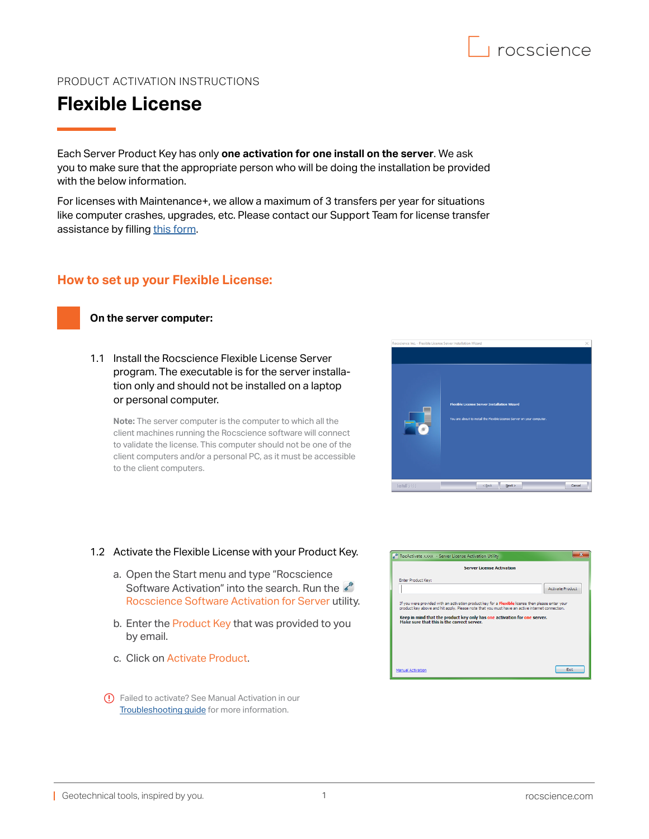

## PRODUCT ACTIVATION INSTRUCTIONS

# **Flexible License**

Each Server Product Key has only **one activation for one install on the server**. We ask you to make sure that the appropriate person who will be doing the installation be provided with the below information.

For licenses with Maintenance+, we allow a maximum of 3 transfers per year for situations like computer crashes, upgrades, etc. Please contact our Support Team for license transfer assistance by filling [this form.](https://www.rocscience.com/support/get-support)

### **How to set up your Flexible License:**

#### **On the server computer:**

1<br>11

1.1 Install the Rocscience Flexible License Server program. The executable is for the server installation only and should not be installed on a laptop or personal computer.

**Note:** The server computer is the computer to which all the client machines running the Rocscience software will connect to validate the license. This computer should not be one of the client computers and/or a personal PC, as it must be accessible to the client computers.



## 1.2 Activate the Flexible License with your Product Key.

- a. Open the Start menu and type "Rocscience Software Activation" into the search. Run the Rocscience Software Activation for Server utility.
- b. Enter the Product Key that was provided to you by email.
- c. Click on Activate Product.
- Failed to activate? See Manual Activation in our [Troubleshooting guide](https://www.rocscience.com/downloads/general/activation-installation-instructions_troubleshooting.pdf) for more information.

| RocActivate XXXX - Server License Activation Utility |                                                                                                                                                                                                                                                                                  |  |                         |
|------------------------------------------------------|----------------------------------------------------------------------------------------------------------------------------------------------------------------------------------------------------------------------------------------------------------------------------------|--|-------------------------|
| <b>Server License Activation</b>                     |                                                                                                                                                                                                                                                                                  |  |                         |
| Enter Product Key:                                   |                                                                                                                                                                                                                                                                                  |  |                         |
|                                                      |                                                                                                                                                                                                                                                                                  |  | <b>Activate Product</b> |
| Make sure that this is the correct server.           | If you were provided with an activation product key for a Flexible license then please enter your<br>product key above and hit apply. Please note that you must have an active internet connection.<br>Keep in mind that the product key only has one activation for one server. |  |                         |
| Manual Activation                                    |                                                                                                                                                                                                                                                                                  |  | Exit                    |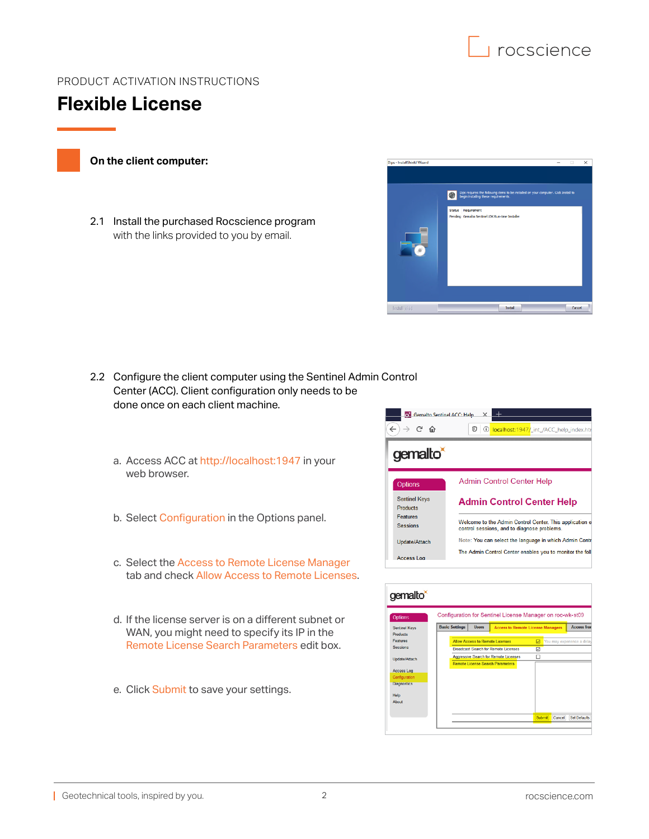

# PRODUCT ACTIVATION INSTRUCTIONS



2

### **On the client computer:**

2.1 Install the purchased Rocscience program with the links provided to you by email.



- 2.2 Configure the client computer using the Sentinel Admin Control Center (ACC). Client configuration only needs to be done once on each client machine.
	- a. Access ACC at <http://localhost:1947>in your web browser.
	- b. Select Configuration in the Options panel.
	- c. Select the Access to Remote License Manager tab and check Allow Access to Remote Licenses.
	- d. If the license server is on a different subnet or WAN, you might need to specify its IP in the Remote License Search Parameters edit box.
	- e. Click Submit to save your settings.